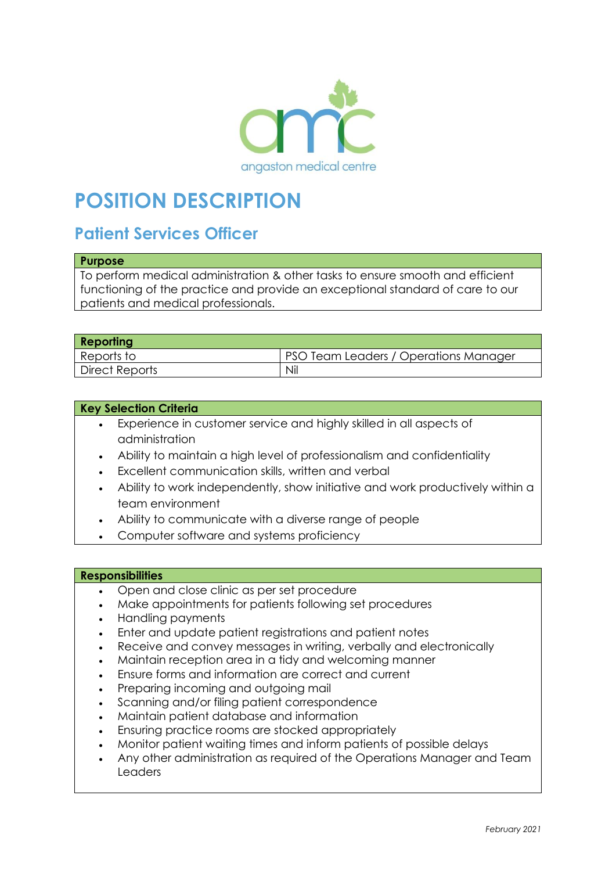

# **POSITION DESCRIPTION**

# **Patient Services Officer**

#### **Purpose**

To perform medical administration & other tasks to ensure smooth and efficient functioning of the practice and provide an exceptional standard of care to our patients and medical professionals.

| <b>Reporting</b> |                                       |
|------------------|---------------------------------------|
| Reports to       | PSO Team Leaders / Operations Manager |
| Direct Reports   | Nil                                   |

#### **Key Selection Criteria**

- Experience in customer service and highly skilled in all aspects of administration
- Ability to maintain a high level of professionalism and confidentiality
- Excellent communication skills, written and verbal
- Ability to work independently, show initiative and work productively within a team environment
- Ability to communicate with a diverse range of people
- Computer software and systems proficiency

#### **Responsibilities**

- Open and close clinic as per set procedure
- Make appointments for patients following set procedures
- Handling payments
- Enter and update patient registrations and patient notes
- Receive and convey messages in writing, verbally and electronically
- Maintain reception area in a tidy and welcoming manner
- Ensure forms and information are correct and current
- Preparing incoming and outgoing mail
- Scanning and/or filing patient correspondence
- Maintain patient database and information
- Ensuring practice rooms are stocked appropriately
- Monitor patient waiting times and inform patients of possible delays
- Any other administration as required of the Operations Manager and Team Leaders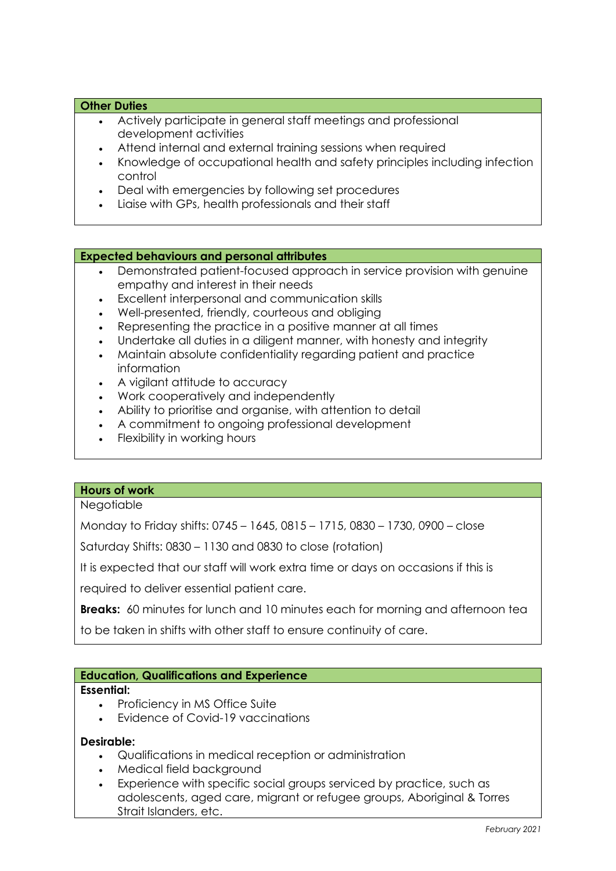#### **Other Duties**

- Actively participate in general staff meetings and professional development activities
- Attend internal and external training sessions when required
- Knowledge of occupational health and safety principles including infection control
- Deal with emergencies by following set procedures
- Liaise with GPs, health professionals and their staff

#### **Expected behaviours and personal attributes**

- Demonstrated patient-focused approach in service provision with genuine empathy and interest in their needs
- Excellent interpersonal and communication skills
- Well-presented, friendly, courteous and obliging
- Representing the practice in a positive manner at all times
- Undertake all duties in a diligent manner, with honesty and integrity
- Maintain absolute confidentiality regarding patient and practice information
- A vigilant attitude to accuracy
- Work cooperatively and independently
- Ability to prioritise and organise, with attention to detail
- A commitment to ongoing professional development
- Flexibility in working hours

#### **Hours of work**

## **Negotiable**

Monday to Friday shifts: 0745 – 1645, 0815 – 1715, 0830 – 1730, 0900 – close

Saturday Shifts: 0830 – 1130 and 0830 to close (rotation)

It is expected that our staff will work extra time or days on occasions if this is

required to deliver essential patient care.

**Breaks:** 60 minutes for lunch and 10 minutes each for morning and afternoon tea

to be taken in shifts with other staff to ensure continuity of care.

#### **Education, Qualifications and Experience**

#### **Essential:**

- Proficiency in MS Office Suite
- Evidence of Covid-19 vaccinations

#### **Desirable:**

- Qualifications in medical reception or administration
- Medical field background
- Experience with specific social groups serviced by practice, such as adolescents, aged care, migrant or refugee groups, Aboriginal & Torres Strait Islanders, etc.